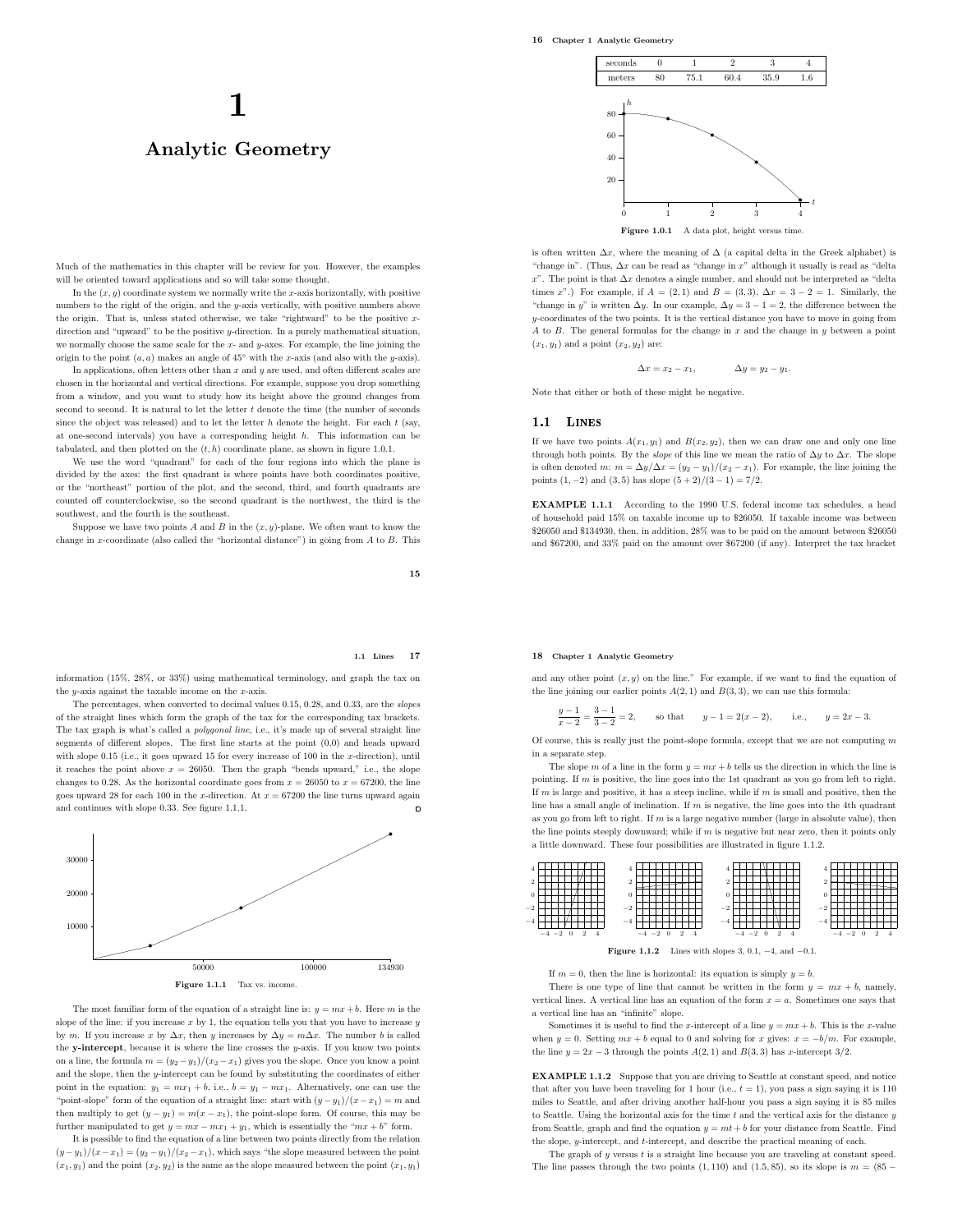# 1 Analytic Geometry

Much of the mathematics in this chapter will be review for you. However, the examples will be oriented toward applications and so will take some thought.

In the  $(x, y)$  coordinate system we normally write the x-axis horizontally, with positive numbers to the right of the origin, and the y-axis vertically, with positive numbers above the origin. That is, unless stated otherwise, we take "rightward" to be the positive xdirection and "upward" to be the positive y-direction. In a purely mathematical situation, we normally choose the same scale for the  $x$ - and  $y$ -axes. For example, the line joining the origin to the point  $(a, a)$  makes an angle of 45° with the x-axis (and also with the y-axis).

In applications, often letters other than  $x$  and  $y$  are used, and often different scales are chosen in the horizontal and vertical directions. For example, suppose you drop something from a window, and you want to study how its height above the ground changes from second to second. It is natural to let the letter  $t$  denote the time (the number of seconds since the object was released) and to let the letter  $h$  denote the height. For each  $t$  (say, at one-second intervals) you have a corresponding height h. This information can be tabulated, and then plotted on the  $(t, h)$  coordinate plane, as shown in figure 1.0.1.

We use the word "quadrant" for each of the four regions into which the plane is divided by the axes: the first quadrant is where points have both coordinates positive, or the "northeast" portion of the plot, and the second, third, and fourth quadrants are counted off counterclockwise, so the second quadrant is the northwest, the third is the southwest, and the fourth is the southeast.

Suppose we have two points  $A$  and  $B$  in the  $(x, y)$ -plane. We often want to know the change in x-coordinate (also called the "horizontal distance") in going from  $A$  to  $B$ . This

15

## 1.1 Lines 17

information (15%, 28%, or 33%) using mathematical terminology, and graph the tax on the  $y$ -axis against the taxable income on the  $x$ -axis.

The percentages, when converted to decimal values 0.15, 0.28, and 0.33, are the slopes of the straight lines which form the graph of the tax for the corresponding tax brackets. The tax graph is what's called a *polygonal line*, i.e., it's made up of several straight line segments of different slopes. The first line starts at the point (0,0) and heads upward with slope  $0.15$  (i.e., it goes upward 15 for every increase of 100 in the x-direction), until it reaches the point above  $x = 26050$ . Then the graph "bends upward," i.e., the slope changes to 0.28. As the horizontal coordinate goes from  $x = 26050$  to  $x = 67200$ , the line goes upward 28 for each 100 in the x-direction. At  $x = 67200$  the line turns upward again and continues with slope 0.33. See figure 1.1.1.  $\Box$ 



The most familiar form of the equation of a straight line is:  $y = mx + b$ . Here m is the slope of the line: if you increase  $x$  by 1, the equation tells you that you have to increase  $y$ by m. If you increase x by  $\Delta x$ , then y increases by  $\Delta y = m\Delta x$ . The number b is called the y-intercept, because it is where the line crosses the  $y$ -axis. If you know two points on a line, the formula  $m = (y_2 - y_1)/(x_2 - x_1)$  gives you the slope. Once you know a point and the slope, then the  $y$ -intercept can be found by substituting the coordinates of either point in the equation:  $y_1 = mx_1 + b$ , i.e.,  $b = y_1 - mx_1$ . Alternatively, one can use the "point-slope" form of the equation of a straight line: start with  $(y - y_1)/(x - x_1) = m$  and then multiply to get  $(y - y_1) = m(x - x_1)$ , the point-slope form. Of course, this may be further manipulated to get  $y = mx - mx_1 + y_1$ , which is essentially the " $mx + b$ " form.

It is possible to find the equation of a line between two points directly from the relation  $(y-y_1)/(x-x_1) = (y_2-y_1)/(x_2-x_1)$ , which says "the slope measured between the point  $(x_1, y_1)$  and the point  $(x_2, y_2)$  is the same as the slope measured between the point  $(x_1, y_1)$ 



is often written  $\Delta x$ , where the meaning of  $\Delta$  (a capital delta in the Greek alphabet) is "change in". (Thus, ∆x can be read as "change in x" although it usually is read as "delta  $x$ ". The point is that  $\Delta x$  denotes a single number, and should not be interpreted as "delta" times x".) For example, if  $A = (2, 1)$  and  $B = (3, 3)$ ,  $\Delta x = 3 - 2 = 1$ . Similarly, the "change in y" is written  $\Delta y$ . In our example,  $\Delta y = 3 - 1 = 2$ , the difference between the  $y$ -coordinates of the two points. It is the vertical distance you have to move in going from A to B. The general formulas for the change in x and the change in y between a point  $(x_1, y_1)$  and a point  $(x_2, y_2)$  are:

$$
\Delta x = x_2-x_1, \hspace{1.5cm} \Delta y = y_2-y_1.
$$

Note that either or both of these might be negative.

## 1.1 LINES

If we have two points  $A(x_1, y_1)$  and  $B(x_2, y_2)$ , then we can draw one and only one line through both points. By the *slope* of this line we mean the ratio of  $\Delta y$  to  $\Delta x$ . The slope is often denoted m:  $m = \Delta y / \Delta x = (y_2 - y_1) / (x_2 - x_1)$ . For example, the line joining the points  $(1, -2)$  and  $(3, 5)$  has slope  $(5 + 2)/(3 - 1) = 7/2$ .

EXAMPLE 1.1.1 According to the 1990 U.S. federal income tax schedules, a head of household paid 15% on taxable income up to \$26050. If taxable income was between \$26050 and \$134930, then, in addition, 28% was to be paid on the amount between \$26050 and \$67200, and 33% paid on the amount over \$67200 (if any). Interpret the tax bracket

## 18 Chapter 1 Analytic Geometry

and any other point  $(x, y)$  on the line." For example, if we want to find the equation of the line joining our earlier points  $A(2, 1)$  and  $B(3, 3)$ , we can use this formula:

$$
\frac{y-1}{x-2} = \frac{3-1}{3-2} = 2, \qquad \text{so that} \qquad y-1 = 2(x-2), \qquad \text{i.e.,} \qquad y = 2x-3.
$$

Of course, this is really just the point-slope formula, except that we are not computing  $m$ in a separate step.

The slope m of a line in the form  $y = mx + b$  tells us the direction in which the line is pointing. If  $m$  is positive, the line goes into the 1st quadrant as you go from left to right. If  $m$  is large and positive, it has a steep incline, while if  $m$  is small and positive, then the line has a small angle of inclination. If  $m$  is negative, the line goes into the 4th quadrant as you go from left to right. If m is a large negative number (large in absolute value), then the line points steeply downward; while if  $m$  is negative but near zero, then it points only a little downward. These four possibilities are illustrated in figure 1.1.2.



Figure 1.1.2 Lines with slopes 3, 0.1,  $-4$ , and  $-0.1$ .

If  $m = 0$ , then the line is horizontal: its equation is simply  $y = b$ .

There is one type of line that cannot be written in the form  $y = mx + b$ , namely, vertical lines. A vertical line has an equation of the form  $x = a$ . Sometimes one says that a vertical line has an "infinite" slope.

Sometimes it is useful to find the x-intercept of a line  $y = mx + b$ . This is the x-value when  $y = 0$ . Setting  $mx + b$  equal to 0 and solving for x gives:  $x = -b/m$ . For example, the line  $y = 2x - 3$  through the points  $A(2, 1)$  and  $B(3, 3)$  has x-intercept 3/2.

EXAMPLE 1.1.2 Suppose that you are driving to Seattle at constant speed, and notice that after you have been traveling for 1 hour (i.e.,  $t = 1$ ), you pass a sign saying it is 110 miles to Seattle, and after driving another half-hour you pass a sign saying it is 85 miles to Seattle. Using the horizontal axis for the time  $t$  and the vertical axis for the distance  $y$ from Seattle, graph and find the equation  $y = mt + b$  for your distance from Seattle. Find the slope,  $y$ -intercept, and  $t$ -intercept, and describe the practical meaning of each.

The graph of  $y$  versus  $t$  is a straight line because you are traveling at constant speed. The line passes through the two points  $(1, 110)$  and  $(1.5, 85)$ , so its slope is  $m = (85 - 15)$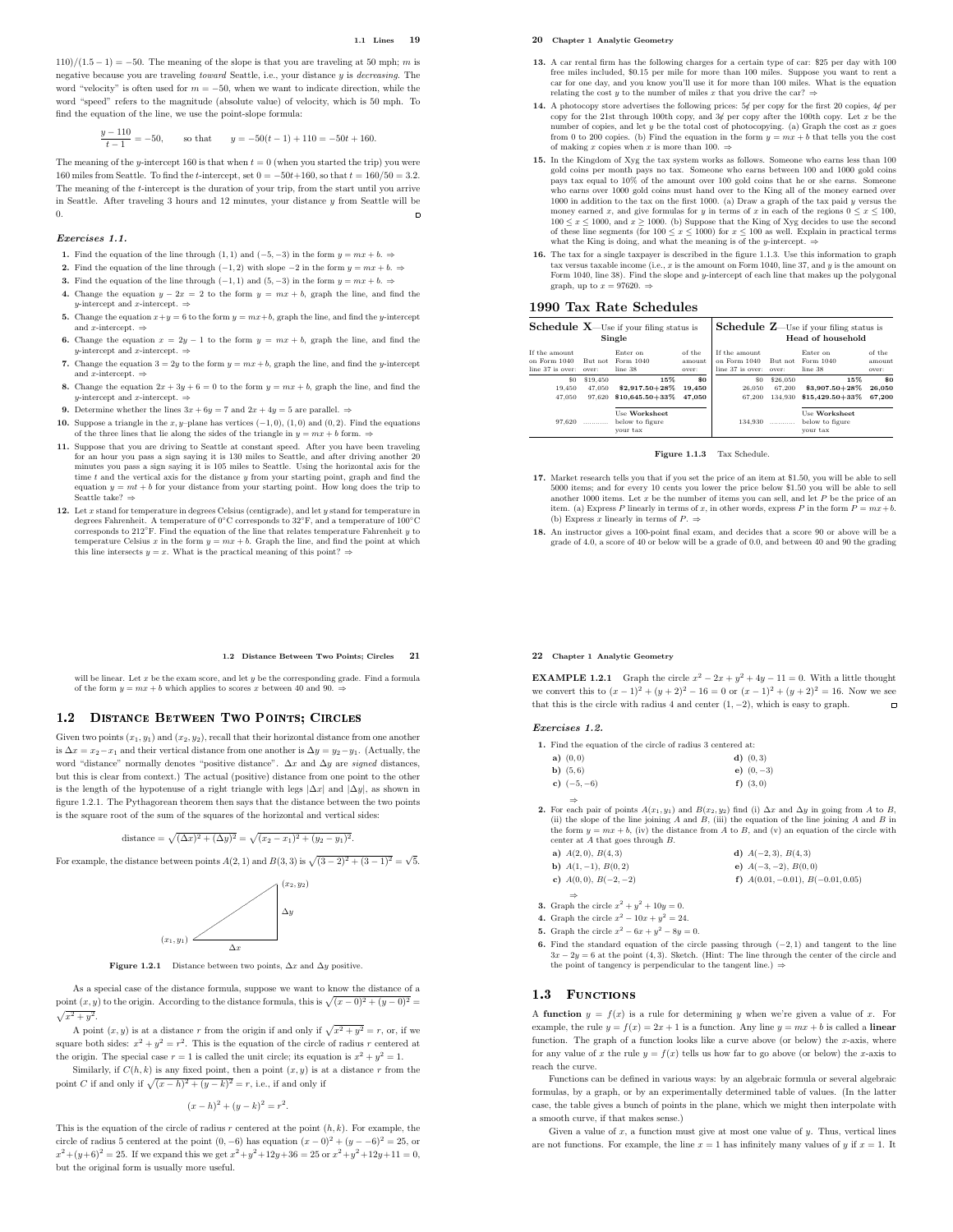$110)/(1.5-1) = -50$ . The meaning of the slope is that you are traveling at 50 mph; m is negative because you are traveling toward Seattle, i.e., your distance y is decreasing. The word "velocity" is often used for  $m = -50$ , when we want to indicate direction, while the word "speed" refers to the magnitude (absolute value) of velocity, which is 50 mph. To find the equation of the line, we use the point-slope formula:

$$
\frac{y-110}{t-1} = -50, \qquad \text{so that} \qquad y = -50(t-1) + 110 = -50t + 160.
$$

The meaning of the y-intercept 160 is that when  $t = 0$  (when you started the trip) you were 160 miles from Seattle. To find the t-intercept, set  $0 = -50t+160$ , so that  $t = 160/50 = 3.2$ . The meaning of the t-intercept is the duration of your trip, from the start until you arrive in Seattle. After traveling 3 hours and 12 minutes, your distance  $y$  from Seattle will be 0.  $\overline{a}$ 

## Exercises 1.1.

- 1. Find the equation of the line through (1, 1) and (-5, -3) in the form  $y = mx + b$ . ⇒
- 2. Find the equation of the line through  $(-1, 2)$  with slope  $-2$  in the form  $y = mx + b$ . ⇒
- 3. Find the equation of the line through (−1, 1) and (5, −3) in the form  $y = mx + b$ . ⇒
- 4. Change the equation  $y 2x = 2$  to the form  $y = mx + b$ , graph the line, and find the y-intercept and x-intercept.  $\Rightarrow$
- 5. Change the equation  $x+y=6$  to the form  $y = mx+b$ , graph the line, and find the y-intercept and *x*-intercept.  $\Rightarrow$
- 6. Change the equation  $x = 2y 1$  to the form  $y = mx + b$ , graph the line, and find the *u*-intercept and *x*-intercept.  $⇒$
- 7. Change the equation  $3 = 2y$  to the form  $y = mx + b$ , graph the line, and find the y-intercept and x-intercept.  $\Rightarrow$
- 8. Change the equation  $2x + 3y + 6 = 0$  to the form  $y = mx + b$ , graph the line, and find the -intercept and  $x$ -intercept.
- 9. Determine whether the lines  $3x + 6y = 7$  and  $2x + 4y = 5$  are parallel.  $\Rightarrow$
- 10. Suppose a triangle in the  $x, y$ –plane has vertices  $(-1, 0)$ ,  $(1, 0)$  and  $(0, 2)$ . Find the equations of the three lines that lie along the sides of the triangle in  $y = mx + b$  form.
- 11. Suppose that you are driving to Seattle at constant speed. After you have been traveling for an hour you pass a sign saying it is 130 miles to Seattle, and after driving another 20 minutes you pass a sign saying it is  $105$  miles to Seattle. Using the horizontal axis for the time  $t$  and the vertical axis for the distance  $y$  from your starting point, graph and find the equation  $y = mt + b$  for your distance from your starting point. How long does the trip to Seattle take?  $\Rightarrow$
- 12. Let x stand for temperature in degrees Celsius (centigrade), and let y stand for temperature in degrees Fahrenheit. A temperature of 0℃ corresponds to 32°F, and a temperature of 100°C corresponds to 212°F. Find the equation of the line that relates temperature Fahrenheit y to temperature Celsius x in the form  $y = mx + b$ . Graph the line, and find the point at which this line intersects  $y = x$ . What is the p

#### 1.2 Distance Between Two Points; Circles 21

will be linear. Let  $x$  be the exam score, and let  $y$  be the corresponding grade. Find a formula of the form  $y = mx + b$  which applies to scores x between 40 and 90.

## 1.2 DISTANCE BETWEEN TWO POINTS; CIRCLES

Given two points  $(x_1, y_1)$  and  $(x_2, y_2)$ , recall that their horizontal distance from one another is  $\Delta x = x_2 - x_1$  and their vertical distance from one another is  $\Delta y = y_2 - y_1$ . (Actually, the word "distance" normally denotes "positive distance".  $\Delta x$  and  $\Delta y$  are *signed* distances, but this is clear from context.) The actual (positive) distance from one point to the other is the length of the hypotenuse of a right triangle with legs  $|\Delta x|$  and  $|\Delta y|$ , as shown in figure 1.2.1. The Pythagorean theorem then says that the distance between the two points is the square root of the sum of the squares of the horizontal and vertical sides:

distance = 
$$
\sqrt{(\Delta x)^2 + (\Delta y)^2}
$$
 =  $\sqrt{(x_2 - x_1)^2 + (y_2 - y_1)^2}$ .

For example, the distance between points  $A(2, 1)$  and  $B(3, 3)$  is  $\sqrt{(3-2)^2 + (3-1)^2} = \sqrt{5}$ .



Figure 1.2.1 Distance between two points,  $\Delta x$  and  $\Delta y$  positive.

As a special case of the distance formula, suppose we want to know the distance of a point  $(x, y)$  to the origin. According to the distance formula, this is  $\sqrt{(x-0)^2 + (y-0)^2} =$  $\sqrt{x^2+y^2}$ .

A point  $(x, y)$  is at a distance r from the origin if and only if  $\sqrt{x^2 + y^2} = r$ , or, if we square both sides:  $x^2 + y^2 = r^2$ . This is the equation of the circle of radius r centered at the origin. The special case  $r = 1$  is called the unit circle; its equation is  $x^2 + y^2 = 1$ .

Similarly, if  $C(h, k)$  is any fixed point, then a point  $(x, y)$  is at a distance r from the point C if and only if  $\sqrt{(x-h)^2 + (y-k)^2} = r$ , i.e., if and only if

$$
(x-h)^2 + (y-k)^2 = r^2.
$$

This is the equation of the circle of radius  $r$  centered at the point  $(h, k)$ . For example, the circle of radius 5 centered at the point  $(0, -6)$  has equation  $(x - 0)^2 + (y - 6)^2 = 25$ , or  $x^2 + (y+6)^2 = 25$ . If we expand this we get  $x^2 + y^2 + 12y + 36 = 25$  or  $x^2 + y^2 + 12y + 11 = 0$ , but the original form is usually more useful.

## 20 Chapter 1 Analytic Geometry

- 13. A car rental firm has the following charges for a certain type of car: \$25 per day with 100 free miles included, \$0.15 per mile for more than 100 miles. Suppose you want to rent a car for one day, and you know you'll use it for more than 100 miles. What is the equation relating the cost  $y$  to the number of miles  $x$  that you drive the car?  $\Rightarrow$
- 14. A photocopy store advertises the following prices:  $5\notin$  per copy for the first 20 copies,  $4\notin$  per copy for the 21st through 100th copy, and  $3\notin$  per copy after the 100th copy. Let x be the number of copies, and let  $y$  be the total cost of photocopying. (a) Graph the cost as  $x$  goes from 0 to 200 copies. (b) Find the equation in the form  $y = mx + b$  that tells you the cost of making x copies when x is more than 100.  $\Rightarrow$
- 15. In the Kingdom of Xyg the tax system works as follows. Someone who earns gold coins per month pays no tax. Someone who earns between 100 and 1000 gold coins pays tax equal to 10% of the amount over 100 gold coins that he or she earns. Someone who earns over 1000 gold coins must hand over to the King all of the money earned over 1000 in addition to the tax on the first 1000. (a) Draw a graph of the tax paid y versus the money earned x, and give formulas for y in terms of x in each of the regions  $0 \le x \le 100$ , ond  $x \ge 1000$ . (b) Suppose that the King of Xyg decides to use the second of these line segments (for 100  $\le x \le 1000$ ) for  $x \le$
- 16. The tax for a single taxpayer is described in the figure 1.1.3. Use this information to graph tax versus taxable income (i.e., x is the amount on Form 1040, line 37, and y is the amount on<br>Form 1040, line 38). Find the slope and y-intercept of each line that makes up the polygonal graph, up to  $x = 97620$ . ⇒

## 1990 Tax Rate Schedules

| <b>Schedule X</b> —Use if your filing status is     |                  |                                              | <b>Schedule Z</b> —Use if your filing status is |                                                   |                  |                                              |                           |
|-----------------------------------------------------|------------------|----------------------------------------------|-------------------------------------------------|---------------------------------------------------|------------------|----------------------------------------------|---------------------------|
| Single                                              |                  |                                              | Head of household                               |                                                   |                  |                                              |                           |
| If the amount<br>on Form $1040$<br>line 37 is over: | But not<br>over: | Enter on<br>Form 1040<br>line 38             | of the<br>amount<br>over:                       | If the amount<br>on Form 1040<br>line 37 is over: | But not<br>over: | Enter on<br>Form 1040<br>line 38             | of the<br>amount<br>over: |
| \$0                                                 | \$19,450         | 15%                                          | \$0                                             | 80                                                | \$26,050         | 15%                                          | s0                        |
| 19.450                                              | 47.050           | 82.917.50+28%                                | 19,450                                          | 26.050                                            | 67.200           | 83,907.50+28%                                | 26,050                    |
| 47.050                                              | 97.620           | $$10.645.50 + 33\%$                          | 47,050                                          | 67.200                                            | 134.930          | \$15,429,50+33%                              | 67,200                    |
| 97.620                                              |                  | Use Worksheet<br>below to figure<br>vour tax |                                                 | 134.930                                           |                  | Use Worksheet<br>below to figure<br>vour tax |                           |

Figure 1.1.3 Tax Schedule.

- 17. Market research tells you that if you set the price of an item at \$1.50, you will be able to sell 5000 items; and for every 10 cents you lower the price below \$1.50 you will be able to sell another 1000 items. Let x be the number of items you can sell, and let P be the price of an item. (a) Express P linearly in terms of x, in other words, express P in the form  $P = mx + b$ . (b) Express x linearly in terms of  $P \Rightarrow$
- 18. An instructor gives a 100-point final exam, and decides that a score 90 or above will be a grade of 4.0, a score of 40 or below will be a grade of 0.0, and between 40 and 90 the grading

## 22 Chapter 1 Analytic Geometry

**EXAMPLE 1.2.1** Graph the circle  $x^2 - 2x + y^2 + 4y - 11 = 0$ . With a little thought we convert this to  $(x - 1)^2 + (y + 2)^2 - 16 = 0$  or  $(x - 1)^2 + (y + 2)^2 = 16$ . Now we see<br>that this is the circle with radius 4 and center  $(1, -2)$ , which is easy to graph. that this is the circle with radius 4 and center  $(1, -2)$ , which is easy to graph.

## Exercises 1.2.

| 1. Find the equation of the circle of radius 3 centered at: |  |
|-------------------------------------------------------------|--|
|-------------------------------------------------------------|--|

| $a)$ $(0,0)$       | $d)$ $(0,3)$ |
|--------------------|--------------|
| <b>b</b> ) $(5,6)$ | e) $(0, -3)$ |
| c) $(-5,-6)$       | $f)$ $(3,0)$ |

2. For each pair of points  $A(x_1, y_1)$  and  $B(x_2, y_2)$  find (i) ∆x and ∆y in going from A to B, (ii) the slope of the line joining A and B, (iii) the equation of the line joining A and B in the form  $y = mx + b$ , (iv) the distance from A to B, and (v) an equation of the circle with center at A that goes through B.

| a) $A(2,0), B(4,3)$          | d) $A(-2,3), B(4,3)$                |
|------------------------------|-------------------------------------|
| <b>b</b> ) $A(1,-1), B(0,2)$ | e) $A(-3,-2), B(0,0)$               |
| c) $A(0,0), B(-2,-2)$        | f) $A(0.01, -0.01), B(-0.01, 0.05)$ |

- 3. Graph the circle  $x^2 + y^2 + 10y = 0$ .
- 4. Graph the circle  $x^2 10x + y^2 = 24$ .
- **5.** Graph the circle  $x^2 6x + y^2 8y = 0$ .
- 6. Find the standard equation of the circle passing through  $(-2, 1)$  and tangent to the line  $3x - 2y = 6$  at the point (4, 3). Sketch. (Hint: The line through the center of the circle and the point of tangency is perpendicular to the tangent line.)  $\Rightarrow$

## 1.3 FUNCTIONS

A function  $y = f(x)$  is a rule for determining y when we're given a value of x. For example, the rule  $y = f(x) = 2x + 1$  is a function. Any line  $y = mx + b$  is called a **linear** function. The graph of a function looks like a curve above (or below) the  $x$ -axis, where for any value of x the rule  $y = f(x)$  tells us how far to go above (or below) the x-axis to reach the curve.

Functions can be defined in various ways: by an algebraic formula or several algebraic formulas, by a graph, or by an experimentally determined table of values. (In the latter case, the table gives a bunch of points in the plane, which we might then interpolate with a smooth curve, if that makes sense.)

Given a value of x, a function must give at most one value of  $u$ . Thus, vertical lines are not functions. For example, the line  $x = 1$  has infinitely many values of y if  $x = 1$ . It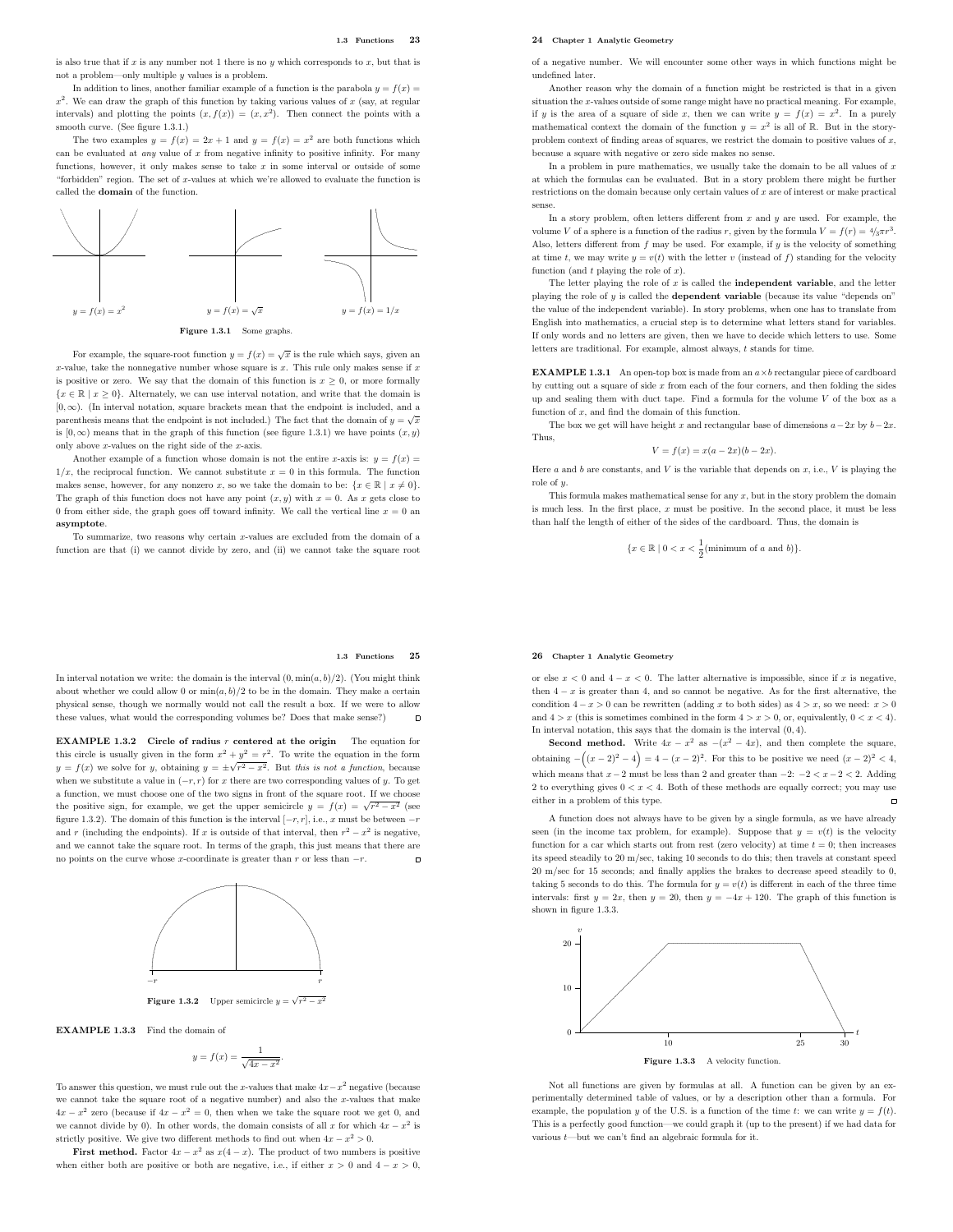is also true that if  $x$  is any number not 1 there is no  $y$  which corresponds to  $x$ , but that is not a problem—only multiple  $y$  values is a problem.

In addition to lines, another familiar example of a function is the parabola  $y = f(x) =$  $x^2$ . We can draw the graph of this function by taking various values of x (say, at regular intervals) and plotting the points  $(x, f(x)) = (x, x^2)$ . Then connect the points with a smooth curve. (See figure 1.3.1.)

The two examples  $y = f(x) = 2x + 1$  and  $y = f(x) = x^2$  are both functions which can be evaluated at *any* value of  $x$  from negative infinity to positive infinity. For many functions, however, it only makes sense to take  $x$  in some interval or outside of some "forbidden" region. The set of x-values at which we're allowed to evaluate the function is called the domain of the function.



For example, the square-root function  $y = f(x) = \sqrt{x}$  is the rule which says, given an x-value, take the nonnegative number whose square is  $x$ . This rule only makes sense if  $x$ is positive or zero. We say that the domain of this function is  $x \geq 0$ , or more formally  ${x \in \mathbb{R} \mid x \ge 0}$ . Alternately, we can use interval notation, and write that the domain is  $[0, \infty)$ . (In interval notation, square brackets mean that the endpoint is included, and a parenthesis means that the endpoint is not included.) The fact that the domain of  $y = \sqrt{x}$ is  $[0, \infty)$  means that in the graph of this function (see figure 1.3.1) we have points  $(x, y)$ only above  $x$ -values on the right side of the  $x$ -axis.

Another example of a function whose domain is not the entire x-axis is:  $y = f(x)$  $1/x$ , the reciprocal function. We cannot substitute  $x = 0$  in this formula. The function makes sense, however, for any nonzero x, so we take the domain to be:  $\{x \in \mathbb{R} \mid x \neq 0\}.$ The graph of this function does not have any point  $(x, y)$  with  $x = 0$ . As x gets close to 0 from either side, the graph goes off toward infinity. We call the vertical line  $x = 0$  an asymptote.

To summarize, two reasons why certain x-values are excluded from the domain of a function are that (i) we cannot divide by zero, and (ii) we cannot take the square root

#### 1.3 Functions 25

In interval notation we write: the domain is the interval  $(0, \min(a, b)/2)$ . (You might think about whether we could allow 0 or  $\min(a, b)/2$  to be in the domain. They make a certain physical sense, though we normally would not call the result a box. If we were to allow these values, what would the corresponding volumes be? Does that make sense?)  $\blacksquare$ 

**EXAMPLE 1.3.2** Circle of radius r centered at the origin The equation for this circle is usually given in the form  $x^2 + y^2 = r^2$ . To write the equation in the form  $y = f(x)$  we solve for y, obtaining  $y = \pm \sqrt{r^2 - x^2}$ . But this is not a function, because when we substitute a value in  $(-r, r)$  for x there are two corresponding values of y. To get a function, we must choose one of the two signs in front of the square root. If we choose the positive sign, for example, we get the upper semicircle  $y = f(x) = \sqrt{r^2 - x^2}$  (see figure 1.3.2). The domain of this function is the interval  $[-r, r]$ , i.e., x must be between  $-r$ and r (including the endpoints). If x is outside of that interval, then  $r^2 - x^2$  is negative, and we cannot take the square root. In terms of the graph, this just means that there are no points on the curve whose x-coordinate is greater than  $r$  or less than  $-r$ .



EXAMPLE 1.3.3 Find the domain of

$$
y = f(x) = \frac{1}{\sqrt{4x - x^2}}.
$$

To answer this question, we must rule out the x-values that make  $4x - x^2$  negative (because we cannot take the square root of a negative number) and also the x-values that make  $4x - x^2$  zero (because if  $4x - x^2 = 0$ , then when we take the square root we get 0, and we cannot divide by 0). In other words, the domain consists of all x for which  $4x - x^2$  is strictly positive. We give two different methods to find out when  $4x - x^2 > 0$ .

**First method.** Factor  $4x - x^2$  as  $x(4 - x)$ . The product of two numbers is positive when either both are positive or both are negative, i.e., if either  $x > 0$  and  $4 - x > 0$ .

### 24 Chapter 1 Analytic Geometry

of a negative number. We will encounter some other ways in which functions might be undefined later.

Another reason why the domain of a function might be restricted is that in a given situation the x-values outside of some range might have no practical meaning. For example, if y is the area of a square of side x, then we can write  $y = f(x) = x^2$ . In a purely mathematical context the domain of the function  $y = x^2$  is all of R. But in the storyproblem context of finding areas of squares, we restrict the domain to positive values of  $x$ , because a square with negative or zero side makes no sense.

In a problem in pure mathematics, we usually take the domain to be all values of  $x$ at which the formulas can be evaluated. But in a story problem there might be further restrictions on the domain because only certain values of  $x$  are of interest or make practical sense.

In a story problem, often letters different from  $x$  and  $y$  are used. For example, the volume V of a sphere is a function of the radius r, given by the formula  $V = f(r) = \frac{4}{3}\pi r^3$ . Also, letters different from f may be used. For example, if  $y$  is the velocity of something at time t, we may write  $y = v(t)$  with the letter v (instead of f) standing for the velocity function (and  $t$  playing the role of  $x$ ).

The letter playing the role of  $x$  is called the **independent variable**, and the letter playing the role of  $y$  is called the **dependent variable** (because its value "depends on" the value of the independent variable). In story problems, when one has to translate from English into mathematics, a crucial step is to determine what letters stand for variables. If only words and no letters are given, then we have to decide which letters to use. Some letters are traditional. For example, almost always, t stands for time.

**EXAMPLE 1.3.1** An open-top box is made from an  $a \times b$  rectangular piece of cardboard by cutting out a square of side  $x$  from each of the four corners, and then folding the sides up and sealing them with duct tape. Find a formula for the volume V of the box as a function of x, and find the domain of this function.

The box we get will have height x and rectangular base of dimensions  $a-2x$  by  $b-2x$ . Thus,

$$
V = f(x) = x(a - 2x)(b - 2x).
$$

Here a and b are constants, and V is the variable that depends on  $x$ , i.e., V is playing the role of  $y$ 

This formula makes mathematical sense for any  $x$ , but in the story problem the domain is much less. In the first place,  $x$  must be positive. In the second place, it must be less than half the length of either of the sides of the cardboard. Thus, the domain is

$$
\{x \in \mathbb{R} \mid 0 < x < \frac{1}{2}(\text{minimum of } a \text{ and } b)\}.
$$

#### 26 Chapter 1 Analytic Geometry

or else  $x < 0$  and  $4 - x < 0$ . The latter alternative is impossible, since if x is negative, then  $4 - x$  is greater than 4, and so cannot be negative. As for the first alternative, the condition  $4-x > 0$  can be rewritten (adding x to both sides) as  $4 > x$ , so we need:  $x > 0$ and  $4 > x$  (this is sometimes combined in the form  $4 > x > 0$ , or, equivalently,  $0 < x < 4$ ). In interval notation, this says that the domain is the interval (0, 4).

**Second method.** Write  $4x - x^2$  as  $-(x^2 - 4x)$ , and then complete the square, obtaining  $-\left((x-2)^2-4\right) = 4 - (x-2)^2$ . For this to be positive we need  $(x-2)^2 < 4$ , which means that  $x-2$  must be less than 2 and greater than  $-2: -2 < x-2 < 2$ . Adding 2 to everything gives  $0 < x < 4$ . Both of these methods are equally correct; you may use either in a problem of this type.  $\overline{a}$ 

A function does not always have to be given by a single formula, as we have already seen (in the income tax problem, for example). Suppose that  $y = v(t)$  is the velocity function for a car which starts out from rest (zero velocity) at time  $t = 0$ ; then increases its speed steadily to 20 m/sec, taking 10 seconds to do this; then travels at constant speed 20 m/sec for 15 seconds; and finally applies the brakes to decrease speed steadily to 0, taking 5 seconds to do this. The formula for  $y = v(t)$  is different in each of the three time intervals: first  $y = 2x$ , then  $y = 20$ , then  $y = -4x + 120$ . The graph of this function is shown in figure 1.3.3.



Not all functions are given by formulas at all. A function can be given by an experimentally determined table of values, or by a description other than a formula. For example, the population y of the U.S. is a function of the time t: we can write  $y = f(t)$ . This is a perfectly good function—we could graph it (up to the present) if we had data for various  $t-$ but we can't find an algebraic formula for it.